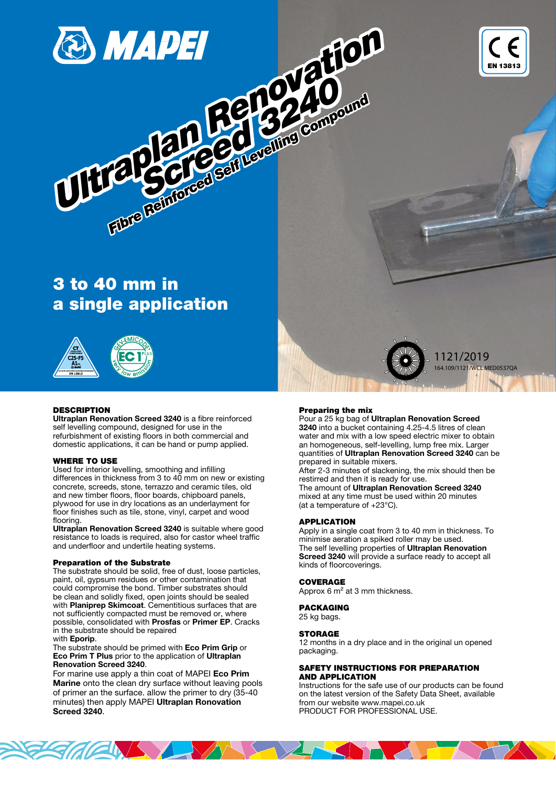



# 3 to 40 mm in a single application

Fibre Reinforced Self Levelling Compound

32 compt



# **DESCRIPTION**

Ultraplan Renovation Screed 3240 is a fibre reinforced self levelling compound, designed for use in the refurbishment of existing floors in both commercial and domestic applications, it can be hand or pump applied.

#### WHERE TO USE

Used for interior levelling, smoothing and infilling differences in thickness from 3 to 40 mm on new or existing concrete, screeds, stone, terrazzo and ceramic tiles, old and new timber floors, floor boards, chipboard panels, plywood for use in dry locations as an underlayment for floor finishes such as tile, stone, vinyl, carpet and wood flooring.

Ultraplan Renovation Screed 3240 is suitable where good resistance to loads is required, also for castor wheel traffic and underfloor and undertile heating systems.

### Preparation of the Substrate

The substrate should be solid, free of dust, loose particles, paint, oil, gypsum residues or other contamination that could compromise the bond. Timber substrates should be clean and solidly fixed, open joints should be sealed with **Planiprep Skimcoat**. Cementitious surfaces that are not sufficiently compacted must be removed or, where possible, consolidated with Prosfas or Primer EP. Cracks in the substrate should be repaired with Eporip.

The substrate should be primed with Eco Prim Grip or Eco Prim T Plus prior to the application of Ultraplan Renovation Screed 3240.

**FIGHTS AND** 

For marine use apply a thin coat of MAPEI Eco Prim Marine onto the clean dry surface without leaving pools of primer an the surface. allow the primer to dry (35-40 minutes) then apply MAPEI Ultraplan Ronovation Screed 3240.

#### Preparing the mix

Pour a 25 kg bag of Ultraplan Renovation Screed 3240 into a bucket containing 4.25-4.5 litres of clean water and mix with a low speed electric mixer to obtain an homogeneous, self-levelling, lump free mix. Larger quantities of Ultraplan Renovation Screed 3240 can be prepared in suitable mixers.

1121/2019 164.109/1121/WCL MED0537QA

After 2-3 minutes of slackening, the mix should then be restirred and then it is ready for use.

The amount of Ultraplan Renovation Screed 3240 mixed at any time must be used within 20 minutes (at a temperature of +23°C).

## APPLICATION

Apply in a single coat from 3 to 40 mm in thickness. To minimise aeration a spiked roller may be used. The self levelling properties of Ultraplan Renovation Screed 3240 will provide a surface ready to accept all kinds of floorcoverings.

#### COVERAGE

Approx 6 m² at 3 mm thickness.

#### PACKAGING

25 kg bags.

#### **STORAGE**

12 months in a dry place and in the original un opened packaging.

## SAFETY INSTRUCTIONS FOR PREPARATION AND APPLICATION

Instructions for the safe use of our products can be found on the latest version of the Safety Data Sheet, available from our website www.mapei.co.uk PRODUCT FOR PROFESSIONAL USE.